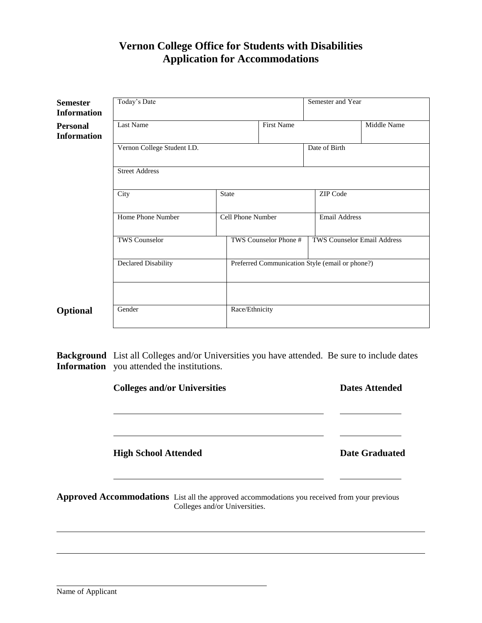## **Vernon College Office for Students with Disabilities Application for Accommodations**

| <b>Semester</b><br><b>Information</b> | Today's Date                |                   |                       | Semester and Year                               |             |  |
|---------------------------------------|-----------------------------|-------------------|-----------------------|-------------------------------------------------|-------------|--|
| <b>Personal</b><br><b>Information</b> | Last Name                   |                   | First Name            |                                                 | Middle Name |  |
|                                       | Vernon College Student I.D. |                   |                       | Date of Birth                                   |             |  |
|                                       | <b>Street Address</b>       |                   |                       |                                                 |             |  |
|                                       | City                        |                   | <b>State</b>          |                                                 | ZIP Code    |  |
|                                       | Home Phone Number           | Cell Phone Number |                       | Email Address                                   |             |  |
|                                       | <b>TWS Counselor</b>        |                   | TWS Counselor Phone # | <b>TWS Counselor Email Address</b>              |             |  |
|                                       | Declared Disability         |                   |                       | Preferred Communication Style (email or phone?) |             |  |
|                                       |                             |                   |                       |                                                 |             |  |
| Optional                              | Gender                      | Race/Ethnicity    |                       |                                                 |             |  |

**Background** List all Colleges and/or Universities you have attended. Be sure to include dates **Information** you attended the institutions.

|                             | <b>Colleges and/or Universities</b>                                                                                           |                       |
|-----------------------------|-------------------------------------------------------------------------------------------------------------------------------|-----------------------|
| <b>High School Attended</b> |                                                                                                                               | <b>Date Graduated</b> |
|                             | Approved Accommodations List all the approved accommodations you received from your previous<br>Colleges and/or Universities. |                       |
|                             |                                                                                                                               |                       |

 $\overline{a}$ 

 $\overline{a}$